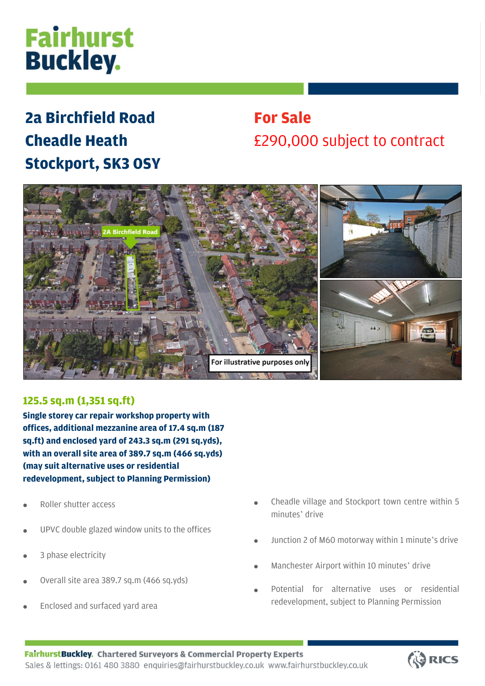# **Fairhurst Buckley.**

## **2a Birchfield Road Cheadle Heath Stockport, SK3 0SY**

### **For Sale** £290,000 subject to contract



### **125.5 sq.m (1,351 sq.ft)**

**Single storey car repair workshop property with offices, additional mezzanine area of 17.4 sq.m (187 sq.ft) and enclosed yard of 243.3 sq.m (291 sq.yds), with an overall site area of 389.7 sq.m (466 sq.yds) (may suit alternative uses or residential redevelopment, subject to Planning Permission)**

- Roller shutter access
- UPVC double glazed window units to the offices
- 3 phase electricity
- Overall site area 389.7 sq.m (466 sq.yds)
- Enclosed and surfaced yard area
- Cheadle village and Stockport town centre within 5 minutes' drive
- Junction 2 of M60 motorway within 1 minute's drive
- Manchester Airport within 10 minutes' drive
- Potential for alternative uses or residential redevelopment, subject to Planning Permission

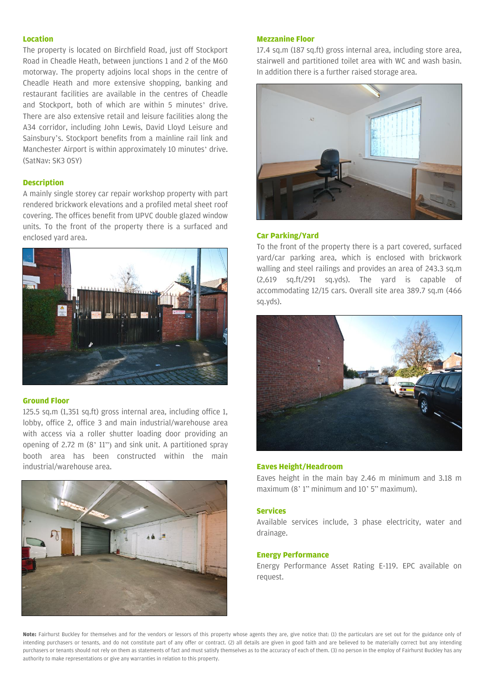#### **Location**

The property is located on Birchfield Road, just off Stockport Road in Cheadle Heath, between junctions 1 and 2 of the M60 motorway. The property adjoins local shops in the centre of Cheadle Heath and more extensive shopping, banking and restaurant facilities are available in the centres of Cheadle and Stockport, both of which are within 5 minutes' drive. There are also extensive retail and leisure facilities along the A34 corridor, including John Lewis, David Lloyd Leisure and Sainsbury's. Stockport benefits from a mainline rail link and Manchester Airport is within approximately 10 minutes' drive. (SatNav: SK3 0SY)

#### **Description**

A mainly single storey car repair workshop property with part rendered brickwork elevations and a profiled metal sheet roof covering. The offices benefit from UPVC double glazed window units. To the front of the property there is a surfaced and enclosed yard area.



#### **Ground Floor**

125.5 sq.m (1,351 sq.ft) gross internal area, including office 1, lobby, office 2, office 3 and main industrial/warehouse area with access via a roller shutter loading door providing an opening of 2.72 m (8' 11") and sink unit. A partitioned spray booth area has been constructed within the main industrial/warehouse area.



#### **Mezzanine Floor**

17.4 sq.m (187 sq.ft) gross internal area, including store area, stairwell and partitioned toilet area with WC and wash basin. In addition there is a further raised storage area.



#### **Car Parking/Yard**

To the front of the property there is a part covered, surfaced yard/car parking area, which is enclosed with brickwork walling and steel railings and provides an area of 243.3 sq.m (2,619 sq.ft/291 sq.yds). The yard is capable of accommodating 12/15 cars. Overall site area 389.7 sq.m (466 sq.yds).



#### **Eaves Height/Headroom**

Eaves height in the main bay 2.46 m minimum and 3.18 m maximum (8' 1" minimum and 10' 5" maximum).

#### **Services**

Available services include, 3 phase electricity, water and drainage.

#### **Energy Performance**

Energy Performance Asset Rating E-119. EPC available on request.

**Note:** Fairhurst Buckley for themselves and for the vendors or lessors of this property whose agents they are, give notice that: (1) the particulars are set out for the guidance only of intending purchasers or tenants, and do not constitute part of any offer or contract. (2) all details are given in good faith and are believed to be materially correct but any intending purchasers or tenants should not rely on them as statements of fact and must satisfy themselves as to the accuracy of each of them. (3) no person in the employ of Fairhurst Buckley has any authority to make representations or give any warranties in relation to this property.